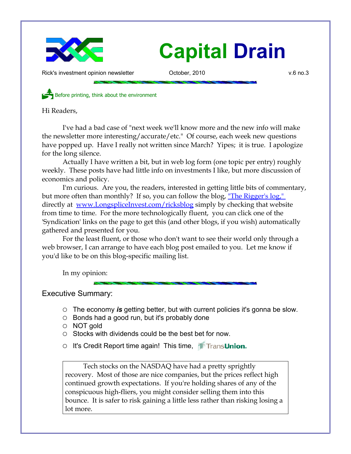

Rick's investment opinion newsletter October, 2010 v.6 no.3

Before printing, think about the environment

Hi Readers,

I've had a bad case of "next week we'll know more and the new info will make the newsletter more interesting/accurate/etc." Of course, each week new questions have popped up. Have I really not written since March? Yipes; it is true. I apologize for the long silence.

Actually I have written a bit, but in web log form (one topic per entry) roughly weekly. These posts have had little info on investments I like, but more discussion of economics and policy.

I'm curious. Are you, the readers, interested in getting little bits of commentary, but more often than monthly? If so, you can follow the blog, ["The Rigger's log,"](http://www.LongspliceInvest.com/ricksblog) directly at [www.LongspliceInvest.com/ricksblog](http://www.LongspliceInvest.com/ricksblog) simply by checking that website from time to time. For the more technologically fluent, you can click one of the 'Syndication' links on the page to get this (and other blogs, if you wish) automatically gathered and presented for you.

For the least fluent, or those who don't want to see their world only through a web browser, I can arrange to have each blog post emailed to you. Let me know if you'd like to be on this blog-specific mailing list.

In my opinion:

Executive Summary:

- The economy *is* getting better, but with current policies it's gonna be slow.
- Bonds had a good run, but it's probably done
- NOT gold
- Stocks with dividends could be the best bet for now.
- O It's Credit Report time again! This time, I Transunion.

Tech stocks on the NASDAQ have had a pretty sprightly recovery. Most of those are nice companies, but the prices reflect high continued growth expectations. If you're holding shares of any of the conspicuous high-fliers, you might consider selling them into this bounce. It is safer to risk gaining a little less rather than risking losing a lot more.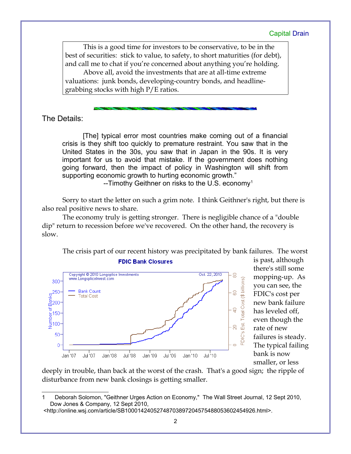This is a good time for investors to be conservative, to be in the best of securities: stick to value, to safety, to short maturities (for debt), and call me to chat if you're concerned about anything you're holding.

Above all, avoid the investments that are at all-time extreme valuations: junk bonds, developing-country bonds, and headlinegrabbing stocks with high P/E ratios.

The Details:

[The] typical error most countries make coming out of a financial crisis is they shift too quickly to premature restraint. You saw that in the United States in the 30s, you saw that in Japan in the 90s. It is very important for us to avoid that mistake. If the government does nothing going forward, then the impact of policy in Washington will shift from supporting economic growth to hurting economic growth."

 $-$ Timothy Geithner on risks to the U.S. economy<sup>[1](#page-1-0)</sup>

Sorry to start the letter on such a grim note. I think Geithner's right, but there is also real positive news to share.

The economy truly is getting stronger. There is negligible chance of a "double dip" return to recession before we've recovered. On the other hand, the recovery is slow.

The crisis part of our recent history was precipitated by bank failures. The worst



is past, although there's still some mopping-up. As you can see, the FDIC's cost per new bank failure has leveled off, even though the rate of new failures is steady. The typical failing bank is now smaller, or less

deeply in trouble, than back at the worst of the crash. That's a good sign; the ripple of disturbance from new bank closings is getting smaller.

<span id="page-1-0"></span>Deborah Solomon, "Geithner Urges Action on Economy," The Wall Street Journal, 12 Sept 2010, Dow Jones & Company, 12 Sept 2010,

 <sup>&</sup>lt;http://online.wsj.com/article/SB10001424052748703897204575488053602454926.html>.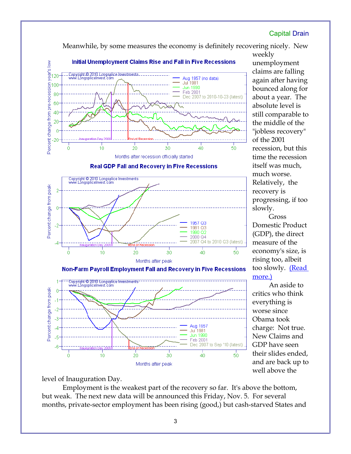Meanwhile, by some measures the economy is definitely recovering nicely. New



**Real GDP Fall and Recovery in Five Recessions** 



weekly unemployment claims are falling again after having bounced along for about a year. The absolute level is still comparable to the middle of the "jobless recovery" of the 2001 recession, but this time the recession itself was much, much worse. Relatively, the recovery is progressing, if too slowly.

Gross Domestic Product (GDP), the direct measure of the economy's size, is rising too, albeit too slowly. [\(Read](http://018695b.netsolhost.com/ricksblog/2010-10-29/the-stock-picking-process/macroeconomics/the-correct-direction-but-painfully-slow/) [more.\)](http://018695b.netsolhost.com/ricksblog/2010-10-29/the-stock-picking-process/macroeconomics/the-correct-direction-but-painfully-slow/)

An aside to critics who think everything is worse since Obama took charge: Not true. New Claims and GDP have seen their slides ended, and are back up to well above the

Non-Farm Payroll Employment Fall and Recovery in Five Recessions



level of Inauguration Day.

Employment is the weakest part of the recovery so far. It's above the bottom, but weak. The next new data will be announced this Friday, Nov. 5. For several months, private-sector employment has been rising (good,) but cash-starved States and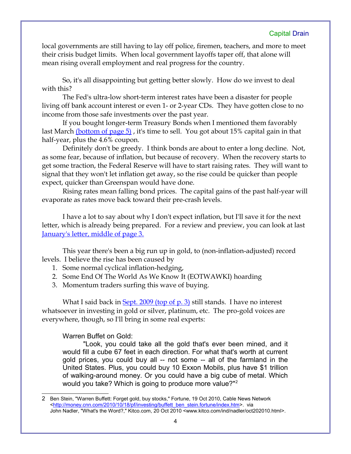local governments are still having to lay off police, firemen, teachers, and more to meet their crisis budget limits. When local government layoffs taper off, that alone will mean rising overall employment and real progress for the country.

So, it's all disappointing but getting better slowly. How do we invest to deal with this?

The Fed's ultra-low short-term interest rates have been a disaster for people living off bank account interest or even 1- or 2-year CDs. They have gotten close to no income from those safe investments over the past year.

If you bought longer-term Treasury Bonds when I mentioned them favorably last March (bottom of page 5), it's time to sell. You got about 15% capital gain in that half-year, plus the 4.6% coupon.

Definitely don't be greedy. I think bonds are about to enter a long decline. Not, as some fear, because of inflation, but because of recovery. When the recovery starts to get some traction, the Federal Reserve will have to start raising rates. They will want to signal that they won't let inflation get away, so the rise could be quicker than people expect, quicker than Greenspan would have done.

Rising rates mean falling bond prices. The capital gains of the past half-year will evaporate as rates move back toward their pre-crash levels.

I have a lot to say about why I don't expect inflation, but I'll save it for the next letter, which is already being prepared. For a review and preview, you can look at last [January's letter, middle of page 3.](http://www.longspliceinvest.com/CapDrain/CapDrain_v6n1.pdf)

This year there's been a big run up in gold, to (non-inflation-adjusted) record levels. I believe the rise has been caused by

- 1. Some normal cyclical inflation-hedging,
- 2. Some End Of The World As We Know It (EOTWAWKI) hoarding
- 3. Momentum traders surfing this wave of buying.

What I said back in Sept. 2009 (top of  $p. 3$ ) still stands. I have no interest whatsoever in investing in gold or silver, platinum, etc. The pro-gold voices are everywhere, though, so I'll bring in some real experts:

Warren Buffet on Gold:

"Look, you could take all the gold that's ever been mined, and it would fill a cube 67 feet in each direction. For what that's worth at current gold prices, you could buy all -- not some -- all of the farmland in the United States. Plus, you could buy 10 Exxon Mobils, plus have \$1 trillion of walking-around money. Or you could have a big cube of metal. Which would you take? Which is going to produce more value?"[2](#page-3-0)

<span id="page-3-0"></span><sup>2</sup> Ben Stein, "Warren Buffett: Forget gold, buy stocks," Fortune, 19 Oct 2010, Cable News Network [<http://money.cnn.com/2010/10/18/pf/investing/buffett\\_ben\\_stein.fortune/index.htm>](http://money.cnn.com/2010/10/18/pf/investing/buffett_ben_stein.fortune/index.htm). via John Nadler, "What's the Word?," Kitco.com, 20 Oct 2010 <www.kitco.com/ind/nadler/oct202010.html>.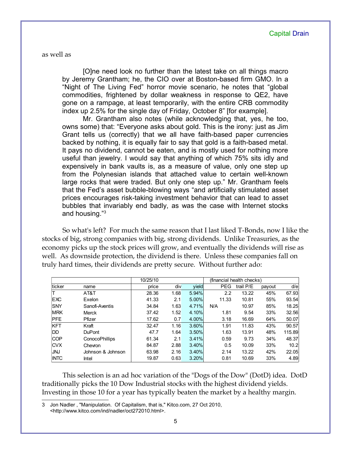as well as

[O]ne need look no further than the latest take on all things macro by Jeremy Grantham; he, the CIO over at Boston-based firm GMO. In a "Night of The Living Fed" horror movie scenario, he notes that "global commodities, frightened by dollar weakness in response to QE2, have gone on a rampage, at least temporarily, with the entire CRB commodity index up 2.5% for the single day of Friday, October 8" [for example].

Mr. Grantham also notes (while acknowledging that, yes, he too, owns some) that: "Everyone asks about gold. This is the irony: just as Jim Grant tells us (correctly) that we all have faith-based paper currencies backed by nothing, it is equally fair to say that gold is a faith-based metal. It pays no dividend, cannot be eaten, and is mostly used for nothing more useful than jewelry. I would say that anything of which 75% sits idly and expensively in bank vaults is, as a measure of value, only one step up from the Polynesian islands that attached value to certain well-known large rocks that were traded. But only one step up." Mr. Grantham feels that the Fed's asset bubble-blowing ways "and artificially stimulated asset prices encourages risk-taking investment behavior that can lead to asset bubbles that invariably end badly, as was the case with Internet stocks and housing."[3](#page-4-0)

So what's left? For much the same reason that I last liked T-Bonds, now I like the stocks of big, strong companies with big, strong dividends. Unlike Treasuries, as the economy picks up the stock prices will grow, and eventually the dividends will rise as well. As downside protection, the dividend is there. Unless these companies fall on truly hard times, their dividends are pretty secure. Without further ado:

|             |                       | 10/25/10 |      |          | (financial health checks) |           |        |        |
|-------------|-----------------------|----------|------|----------|---------------------------|-----------|--------|--------|
| ticker      | name                  | price    | div  | yield    | <b>PEG</b>                | trail P/E | payout | d/e    |
|             | AT&T                  | 28.36    | 1.68 | 5.94%    | 2.2                       | 13.22     | 45%    | 67.93  |
| <b>EXC</b>  | Exelon                | 41.33    | 2.1  | $5.00\%$ | 11.33                     | 10.81     | 55%    | 93.54  |
| <b>SNY</b>  | Sanofi-Aventis        | 34.84    | 1.63 | 4.71%    | N/A                       | 10.97     | 85%    | 18.25  |
| <b>MRK</b>  | Merck                 | 37.42    | 1.52 | 4.10%    | 1.81                      | 9.54      | 33%    | 32.56  |
| <b>PFE</b>  | Pfizer                | 17.62    | 0.7  | 4.00%    | 3.18                      | 16.69     | 64%    | 50.07  |
| <b>KFT</b>  | Kraft                 | 32.47    | 1.16 | 3.60%    | 1.91                      | 11.83     | 43%    | 90.57  |
| DD          | <b>DuPont</b>         | 47.7     | 1.64 | 3.50%    | 1.63                      | 13.91     | 48%    | 115.89 |
| <b>COP</b>  | <b>ConocoPhillips</b> | 61.34    | 2.1  | 3.41%    | 0.59                      | 9.73      | 34%    | 48.37  |
| <b>CVX</b>  | Chevron               | 84.87    | 2.88 | 3.40%    | 0.5                       | 10.09     | 33%    | 10.2   |
| <b>JNJ</b>  | Johnson & Johnson     | 63.98    | 2.16 | 3.40%    | 2.14                      | 13.22     | 42%    | 22.05  |
| <b>INTC</b> | Intel                 | 19.87    | 0.63 | 3.20%    | 0.81                      | 10.69     | 33%    | 4.89   |

This selection is an ad hoc variation of the "Dogs of the Dow" (DotD) idea. DotD traditionally picks the 10 Dow Industrial stocks with the highest dividend yields. Investing in those 10 for a year has typically beaten the market by a healthy margin.

<span id="page-4-0"></span><sup>3</sup> Jon Nadler , "Manipulation. Of Capitalism, that is," Kitco.com, 27 Oct 2010, <http://www.kitco.com/ind/nadler/oct272010.html>.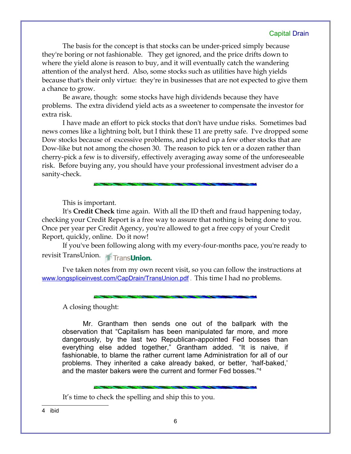The basis for the concept is that stocks can be under-priced simply because they're boring or not fashionable. They get ignored, and the price drifts down to where the yield alone is reason to buy, and it will eventually catch the wandering attention of the analyst herd. Also, some stocks such as utilities have high yields because that's their only virtue: they're in businesses that are not expected to give them a chance to grow.

Be aware, though: some stocks have high dividends because they have problems. The extra dividend yield acts as a sweetener to compensate the investor for extra risk.

I have made an effort to pick stocks that don't have undue risks. Sometimes bad news comes like a lightning bolt, but I think these 11 are pretty safe. I've dropped some Dow stocks because of excessive problems, and picked up a few other stocks that are Dow-like but not among the chosen 30. The reason to pick ten or a dozen rather than cherry-pick a few is to diversify, effectively averaging away some of the unforeseeable risk. Before buying any, you should have your professional investment adviser do a sanity-check.

This is important.

It's **Credit Check** time again. With all the ID theft and fraud happening today, checking your Credit Report is a free way to assure that nothing is being done to you. Once per year per Credit Agency, you're allowed to get a free copy of your Credit Report, quickly, online. Do it now!

If you've been following along with my every-four-months pace, you're ready to revisit TransUnion. Trans**Union.** 

I've taken notes from my own recent visit, so you can follow the instructions at [www.longspliceinvest.com/CapDrain/TransUnion.pdf](http://www.longspliceinvest.com/CapDrain/TransUnion.pdf) . This time I had no problems.

A closing thought:

Mr. Grantham then sends one out of the ballpark with the observation that "Capitalism has been manipulated far more, and more dangerously, by the last two Republican-appointed Fed bosses than everything else added together," Grantham added. "It is naive, if fashionable, to blame the rather current lame Administration for all of our problems. They inherited a cake already baked, or better, 'half-baked,' and the master bakers were the current and former Fed bosses."[4](#page-5-0)

It's time to check the spelling and ship this to you.

<span id="page-5-0"></span>4 ibid